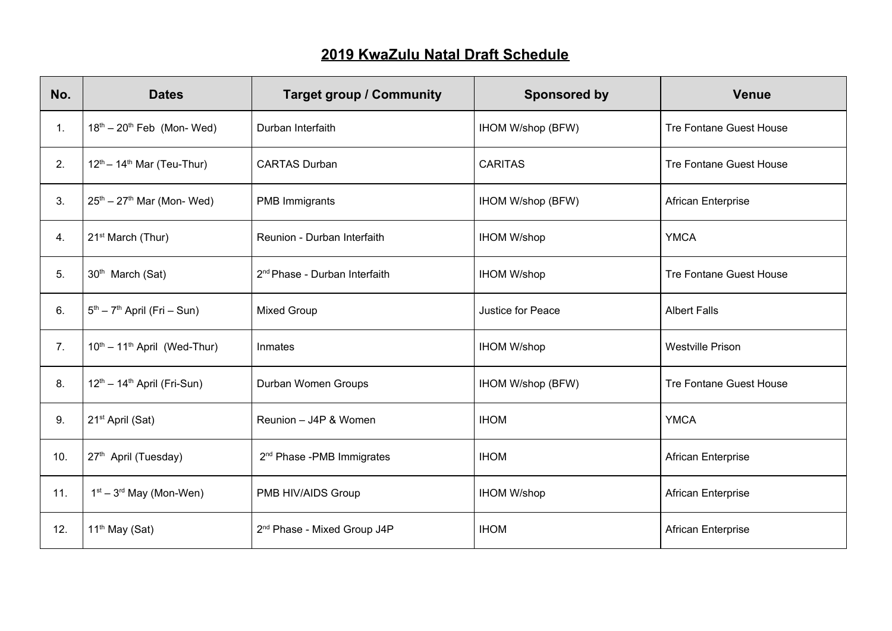## **2019 KwaZulu Natal Draft Schedule**

| No. | <b>Dates</b>                                        | <b>Target group / Community</b>           | <b>Sponsored by</b> | <b>Venue</b>                   |
|-----|-----------------------------------------------------|-------------------------------------------|---------------------|--------------------------------|
| 1.  | $18th - 20th$ Feb (Mon-Wed)                         | Durban Interfaith                         | IHOM W/shop (BFW)   | <b>Tre Fontane Guest House</b> |
| 2.  | $12^{th} - 14^{th}$ Mar (Teu-Thur)                  | <b>CARTAS Durban</b>                      | <b>CARITAS</b>      | <b>Tre Fontane Guest House</b> |
| 3.  | $25th - 27th$ Mar (Mon-Wed)                         | PMB Immigrants                            | IHOM W/shop (BFW)   | African Enterprise             |
| 4.  | 21 <sup>st</sup> March (Thur)                       | Reunion - Durban Interfaith               | <b>IHOM W/shop</b>  | <b>YMCA</b>                    |
| 5.  | 30 <sup>th</sup> March (Sat)                        | 2 <sup>nd</sup> Phase - Durban Interfaith | <b>IHOM W/shop</b>  | <b>Tre Fontane Guest House</b> |
| 6.  | $5th - 7th$ April (Fri – Sun)                       | <b>Mixed Group</b>                        | Justice for Peace   | <b>Albert Falls</b>            |
| 7.  | $10^{th} - 11^{th}$ April (Wed-Thur)                | Inmates                                   | <b>IHOM W/shop</b>  | <b>Westville Prison</b>        |
| 8.  | 12 <sup>th</sup> - 14 <sup>th</sup> April (Fri-Sun) | Durban Women Groups                       | IHOM W/shop (BFW)   | <b>Tre Fontane Guest House</b> |
| 9.  | 21 <sup>st</sup> April (Sat)                        | Reunion - J4P & Women                     | <b>IHOM</b>         | <b>YMCA</b>                    |
| 10. | 27 <sup>th</sup> April (Tuesday)                    | 2 <sup>nd</sup> Phase - PMB Immigrates    | <b>IHOM</b>         | African Enterprise             |
| 11. | $1st - 3rd$ May (Mon-Wen)                           | PMB HIV/AIDS Group                        | <b>IHOM W/shop</b>  | African Enterprise             |
| 12. | 11 <sup>th</sup> May (Sat)                          | 2 <sup>nd</sup> Phase - Mixed Group J4P   | <b>IHOM</b>         | African Enterprise             |